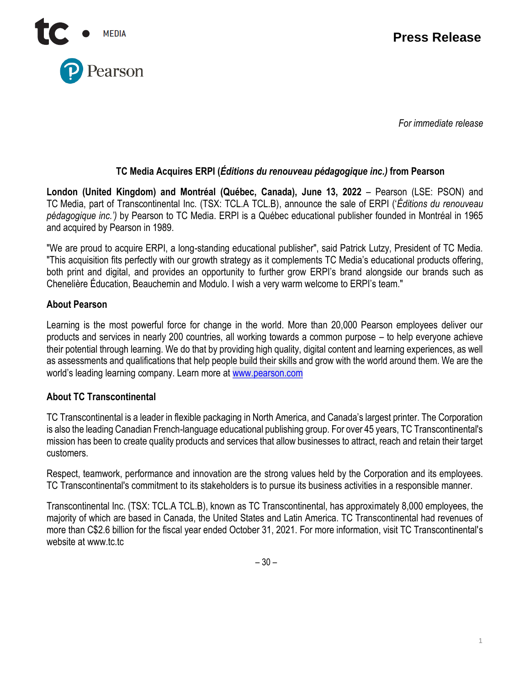

*For immediate release*

# **TC Media Acquires ERPI (***Éditions du renouveau pédagogique inc.)* **from Pearson**

**London (United Kingdom) and Montréal (Québec, Canada), June 13, 2022** – Pearson (LSE: PSON) and TC Media, part of Transcontinental Inc. (TSX: TCL.A TCL.B), announce the sale of ERPI ('*Éditions du renouveau pédagogique inc.')* by Pearson to TC Media. ERPI is a Québec educational publisher founded in Montréal in 1965 and acquired by Pearson in 1989.

"We are proud to acquire ERPI, a long-standing educational publisher", said Patrick Lutzy, President of TC Media. "This acquisition fits perfectly with our growth strategy as it complements TC Media's educational products offering, both print and digital, and provides an opportunity to further grow ERPI's brand alongside our brands such as Chenelière Éducation, Beauchemin and Modulo. I wish a very warm welcome to ERPI's team."

## **About Pearson**

Learning is the most powerful force for change in the world. More than 20,000 Pearson employees deliver our products and services in nearly 200 countries, all working towards a common purpose – to help everyone achieve their potential through learning. We do that by providing high quality, digital content and learning experiences, as well as assessments and qualifications that help people build their skills and grow with the world around them. We are the world's leading learning company. Learn more at [www.pearson.com](http://www.pearson.com/)

## **About TC Transcontinental**

TC Transcontinental is a leader in flexible packaging in North America, and Canada's largest printer. The Corporation is also the leading Canadian French-language educational publishing group. For over 45 years, TC Transcontinental's mission has been to create quality products and services that allow businesses to attract, reach and retain their target customers.

Respect, teamwork, performance and innovation are the strong values held by the Corporation and its employees. TC Transcontinental's commitment to its stakeholders is to pursue its business activities in a responsible manner.

Transcontinental Inc. (TSX: TCL.A TCL.B), known as TC Transcontinental, has approximately 8,000 employees, the majority of which are based in Canada, the United States and Latin America. TC Transcontinental had revenues of more than C\$2.6 billion for the fiscal year ended October 31, 2021. For more information, visit TC Transcontinental's website at www.tc.tc

– 30 –